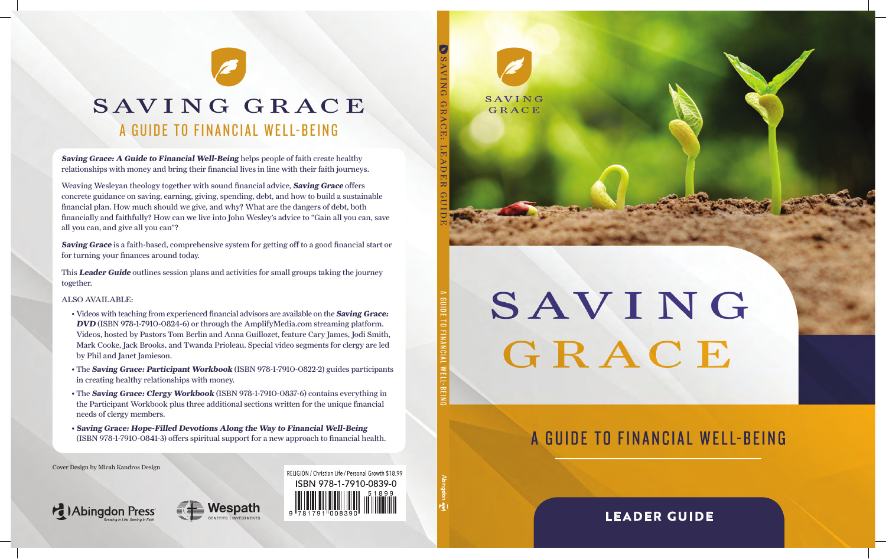

# SAVING GRACE

# A GUIDE TO FINANCIAL WELL-BEING

**LEADER GUIDE**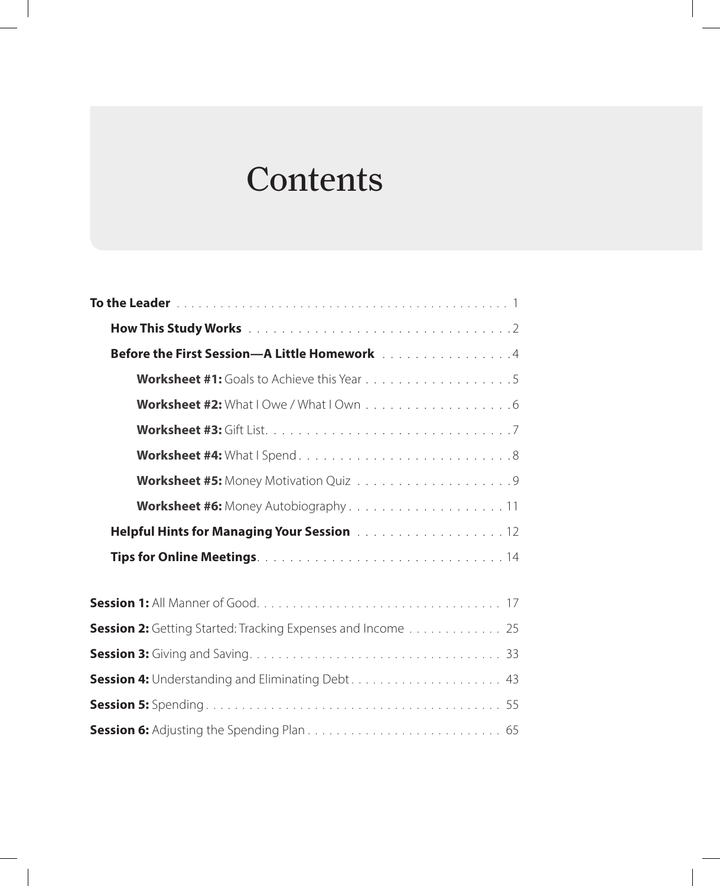# **Contents**

| Before the First Session-A Little Homework Alberta 2014            |
|--------------------------------------------------------------------|
|                                                                    |
|                                                                    |
|                                                                    |
|                                                                    |
|                                                                    |
|                                                                    |
| Helpful Hints for Managing Your Session 12                         |
|                                                                    |
|                                                                    |
| <b>Session 2:</b> Getting Started: Tracking Expenses and Income 25 |
|                                                                    |
|                                                                    |
|                                                                    |
|                                                                    |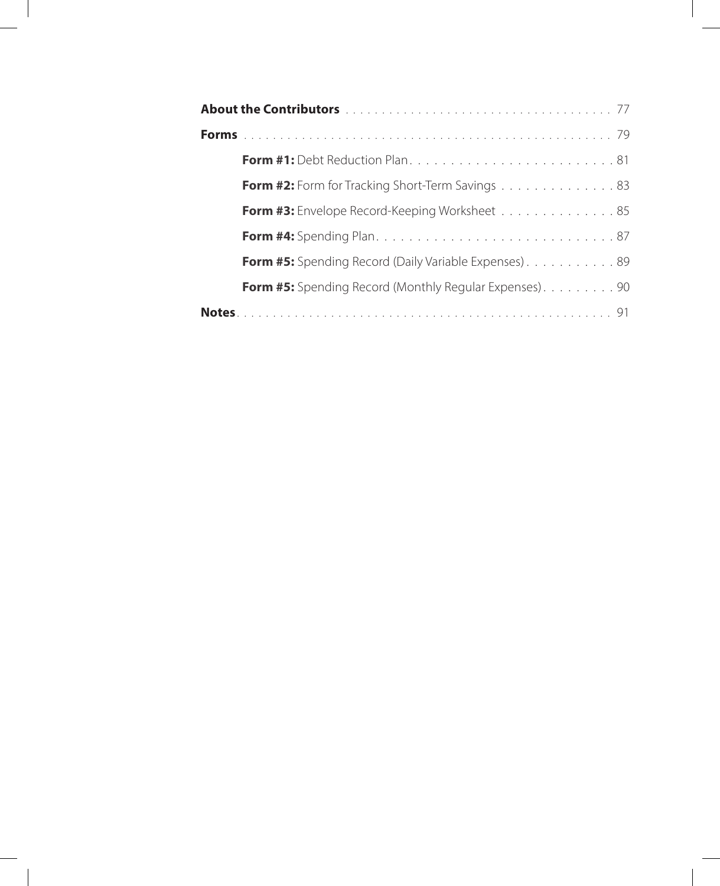| Form #2: Form for Tracking Short-Term Savings 83              |
|---------------------------------------------------------------|
| Form #3: Envelope Record-Keeping Worksheet 85                 |
|                                                               |
| <b>Form #5:</b> Spending Record (Daily Variable Expenses). 89 |
| Form #5: Spending Record (Monthly Regular Expenses). 90       |
|                                                               |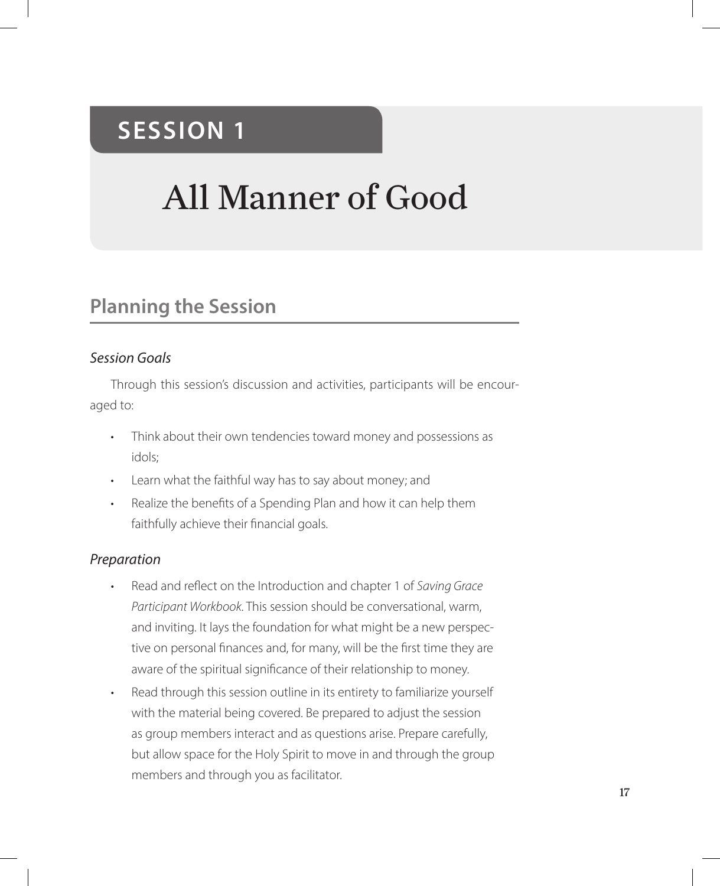# **SESSION 1**

# All Manner of Good

## **Planning the Session**

#### *Session Goals*

Through this session's discussion and activities, participants will be encouraged to:

- Think about their own tendencies toward money and possessions as idols;
- Learn what the faithful way has to say about money; and
- Realize the benefits of a Spending Plan and how it can help them faithfully achieve their financial goals.

#### *Preparation*

- Read and reflect on the Introduction and chapter 1 of *Saving Grace Participant Workbook*. This session should be conversational, warm, and inviting. It lays the foundation for what might be a new perspective on personal finances and, for many, will be the first time they are aware of the spiritual significance of their relationship to money.
- Read through this session outline in its entirety to familiarize yourself with the material being covered. Be prepared to adjust the session as group members interact and as questions arise. Prepare carefully, but allow space for the Holy Spirit to move in and through the group members and through you as facilitator.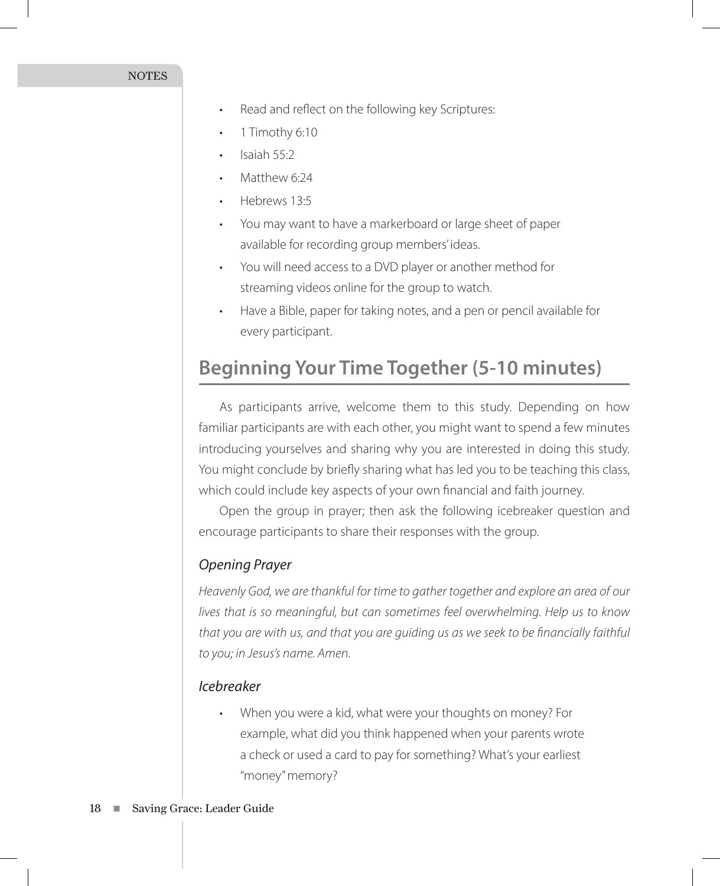- Read and reflect on the following key Scriptures:
- 1 Timothy 6:10
- Isaiah 55:2
- Matthew 6:24
- Hebrews 13:5
- You may want to have a markerboard or large sheet of paper available for recording group members' ideas.
- You will need access to a DVD player or another method for streaming videos online for the group to watch.
- Have a Bible, paper for taking notes, and a pen or pencil available for every participant.

### **Beginning Your Time Together (5-10 minutes)**

As participants arrive, welcome them to this study. Depending on how familiar participants are with each other, you might want to spend a few minutes introducing yourselves and sharing why you are interested in doing this study. You might conclude by briefly sharing what has led you to be teaching this class, which could include key aspects of your own financial and faith journey.

Open the group in prayer; then ask the following icebreaker question and encourage participants to share their responses with the group.

#### *Opening Prayer*

*Heavenly God, we are thankful for time to gather together and explore an area of our lives that is so meaningful, but can sometimes feel overwhelming. Help us to know that you are with us, and that you are guiding us as we seek to be financially faithful to you; in Jesus's name. Amen.*

#### *Icebreaker*

• When you were a kid, what were your thoughts on money? For example, what did you think happened when your parents wrote a check or used a card to pay for something? What's your earliest "money" memory?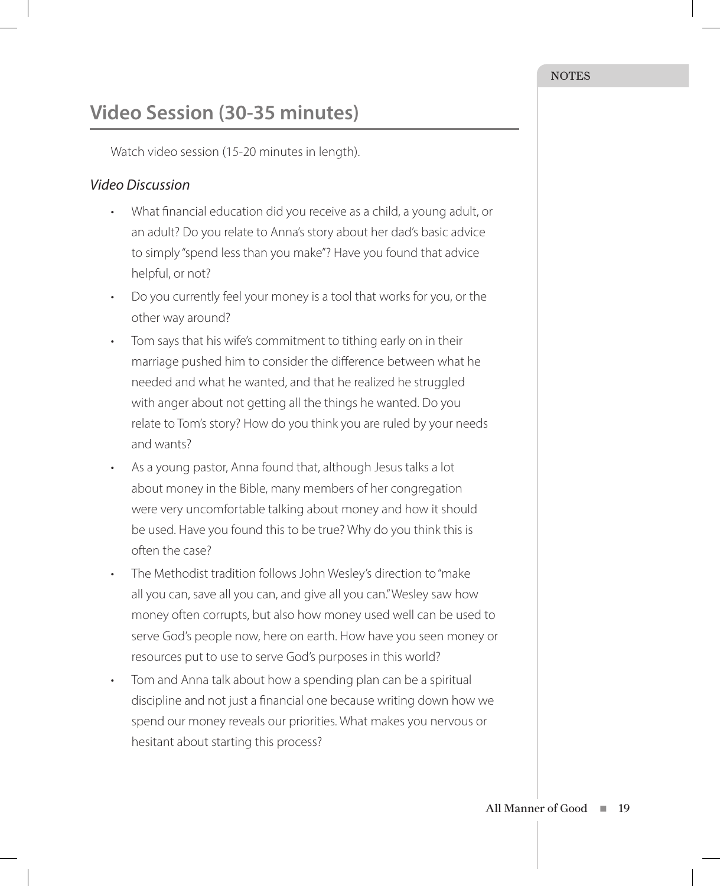# **Video Session (30-35 minutes)**

Watch video session (15-20 minutes in length).

#### *Video Discussion*

- What financial education did you receive as a child, a young adult, or an adult? Do you relate to Anna's story about her dad's basic advice to simply "spend less than you make"? Have you found that advice helpful, or not?
- Do you currently feel your money is a tool that works for you, or the other way around?
- Tom says that his wife's commitment to tithing early on in their marriage pushed him to consider the difference between what he needed and what he wanted, and that he realized he struggled with anger about not getting all the things he wanted. Do you relate to Tom's story? How do you think you are ruled by your needs and wants?
- As a young pastor, Anna found that, although Jesus talks a lot about money in the Bible, many members of her congregation were very uncomfortable talking about money and how it should be used. Have you found this to be true? Why do you think this is often the case?
- The Methodist tradition follows John Wesley's direction to "make all you can, save all you can, and give all you can." Wesley saw how money often corrupts, but also how money used well can be used to serve God's people now, here on earth. How have you seen money or resources put to use to serve God's purposes in this world?
- Tom and Anna talk about how a spending plan can be a spiritual discipline and not just a financial one because writing down how we spend our money reveals our priorities. What makes you nervous or hesitant about starting this process?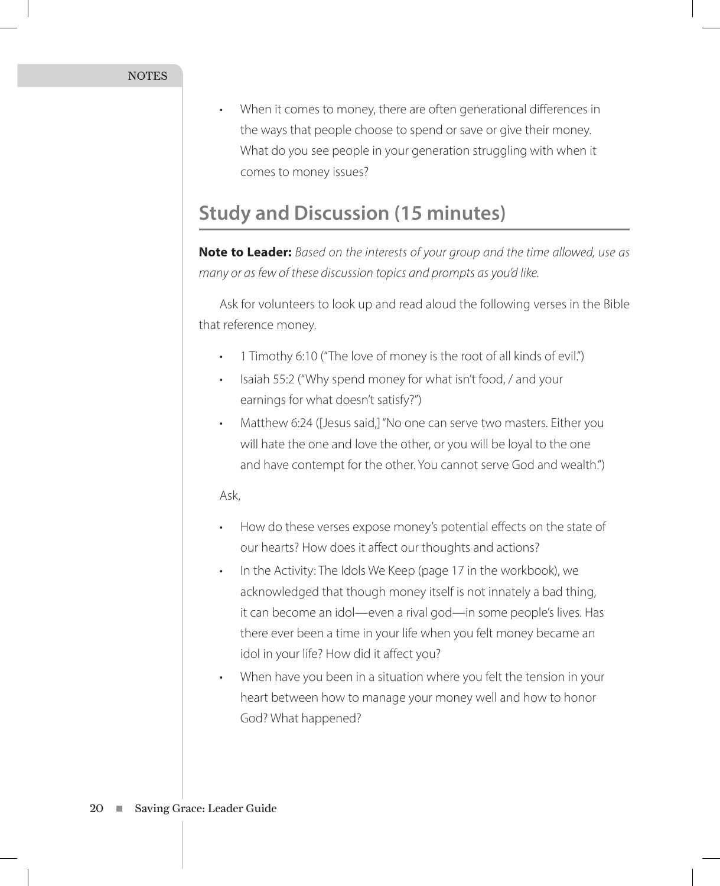• When it comes to money, there are often generational differences in the ways that people choose to spend or save or give their money. What do you see people in your generation struggling with when it comes to money issues?

### **Study and Discussion (15 minutes)**

**Note to Leader:** *Based on the interests of your group and the time allowed, use as many or as few of these discussion topics and prompts as you'd like.* 

Ask for volunteers to look up and read aloud the following verses in the Bible that reference money.

- 1 Timothy 6:10 ("The love of money is the root of all kinds of evil.")
- Isaiah 55:2 ("Why spend money for what isn't food, / and your earnings for what doesn't satisfy?")
- Matthew 6:24 ([Jesus said,] "No one can serve two masters. Either you will hate the one and love the other, or you will be loyal to the one and have contempt for the other. You cannot serve God and wealth.")

#### Ask,

- How do these verses expose money's potential effects on the state of our hearts? How does it affect our thoughts and actions?
- In the Activity: The Idols We Keep (page 17 in the workbook), we acknowledged that though money itself is not innately a bad thing, it can become an idol—even a rival god—in some people's lives. Has there ever been a time in your life when you felt money became an idol in your life? How did it affect you?
- When have you been in a situation where you felt the tension in your heart between how to manage your money well and how to honor God? What happened?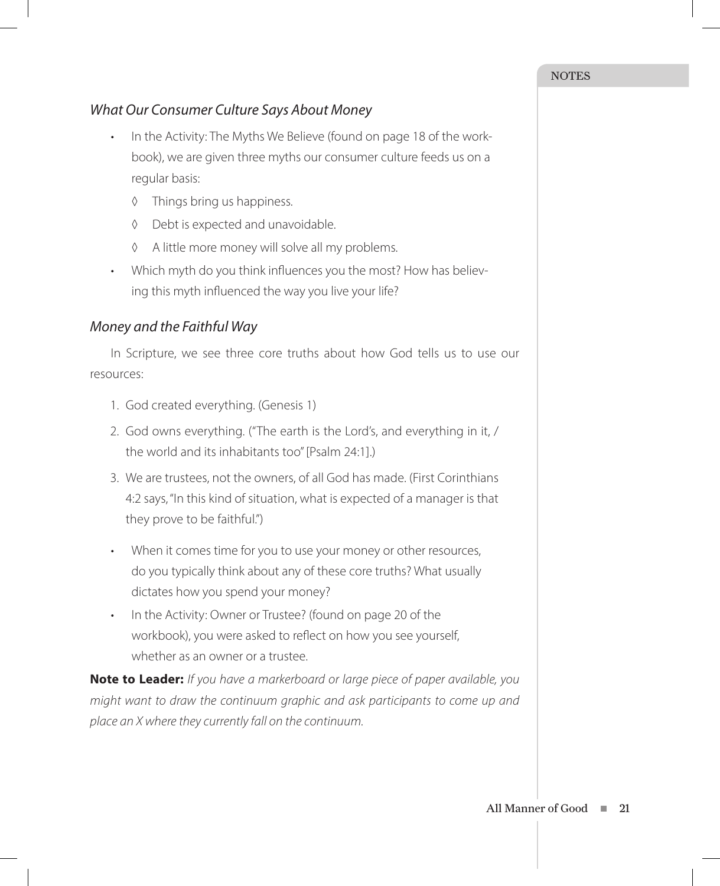#### *What Our Consumer Culture Says About Money*

- In the Activity: The Myths We Believe (found on page 18 of the workbook), we are given three myths our consumer culture feeds us on a regular basis:
	- ◊ Things bring us happiness.
	- ◊ Debt is expected and unavoidable.
	- ◊ A little more money will solve all my problems.
- Which myth do you think influences you the most? How has believing this myth influenced the way you live your life?

#### *Money and the Faithful Way*

In Scripture, we see three core truths about how God tells us to use our resources:

- 1. God created everything. (Genesis 1)
- 2. God owns everything. ("The earth is the Lord's, and everything in it, / the world and its inhabitants too" [Psalm 24:1].)
- 3. We are trustees, not the owners, of all God has made. (First Corinthians 4:2 says, "In this kind of situation, what is expected of a manager is that they prove to be faithful.")
- When it comes time for you to use your money or other resources, do you typically think about any of these core truths? What usually dictates how you spend your money?
- In the Activity: Owner or Trustee? (found on page 20 of the workbook), you were asked to reflect on how you see yourself, whether as an owner or a trustee.

**Note to Leader:** *If you have a markerboard or large piece of paper available, you might want to draw the continuum graphic and ask participants to come up and place an X where they currently fall on the continuum.*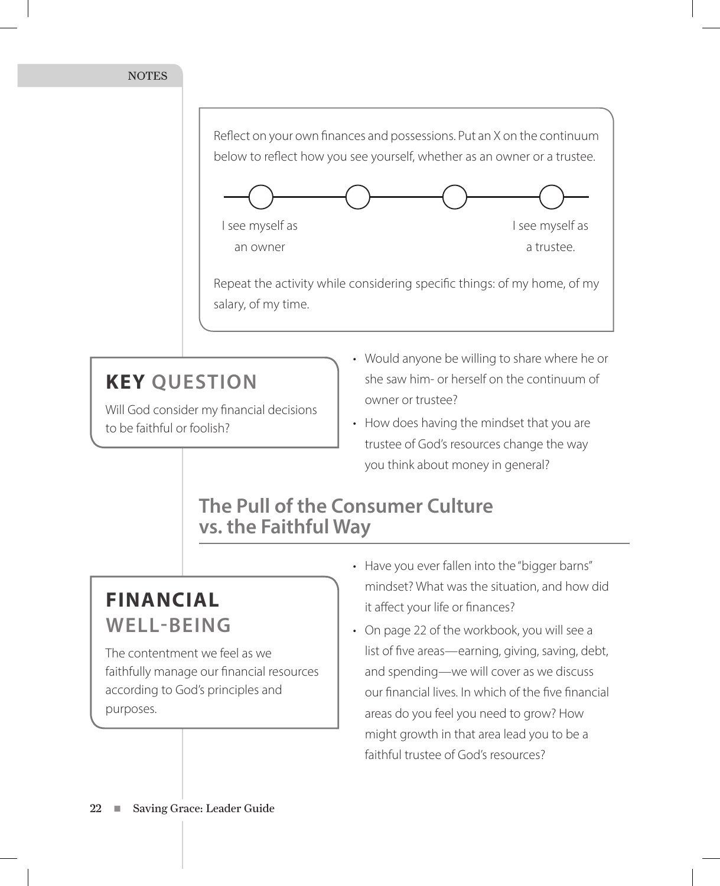

# **KEY QUESTION**

Will God consider my financial decisions to be faithful or foolish?

- Would anyone be willing to share where he or she saw him- or herself on the continuum of owner or trustee?
- How does having the mindset that you are trustee of God's resources change the way you think about money in general?

### **The Pull of the Consumer Culture vs. the Faithful Way**

# **FINANCIAL WELL-BEING**

The contentment we feel as we faithfully manage our financial resources according to God's principles and purposes.

- Have you ever fallen into the "bigger barns" mindset? What was the situation, and how did it affect your life or finances?
- On page 22 of the workbook, you will see a list of five areas—earning, giving, saving, debt, and spending—we will cover as we discuss our financial lives. In which of the five financial areas do you feel you need to grow? How might growth in that area lead you to be a faithful trustee of God's resources?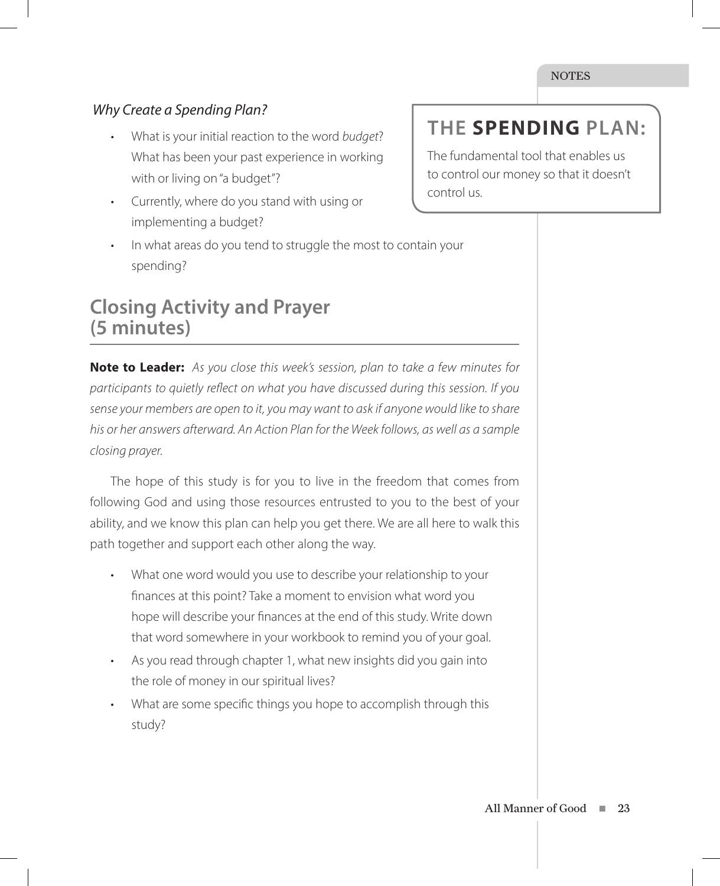#### *Why Create a Spending Plan?*

- What is your initial reaction to the word *budget*? What has been your past experience in working with or living on "a budget"?
- Currently, where do you stand with using or implementing a budget?
- In what areas do you tend to struggle the most to contain your spending?

### **Closing Activity and Prayer (5 minutes)**

**Note to Leader:** *As you close this week's session, plan to take a few minutes for participants to quietly reflect on what you have discussed during this session. If you sense your members are open to it, you may want to ask if anyone would like to share his or her answers afterward. An Action Plan for the Week follows, as well as a sample closing prayer.* 

The hope of this study is for you to live in the freedom that comes from following God and using those resources entrusted to you to the best of your ability, and we know this plan can help you get there. We are all here to walk this path together and support each other along the way.

- What one word would you use to describe your relationship to your finances at this point? Take a moment to envision what word you hope will describe your finances at the end of this study. Write down that word somewhere in your workbook to remind you of your goal.
- As you read through chapter 1, what new insights did you gain into the role of money in our spiritual lives?
- What are some specific things you hope to accomplish through this study?

# **THE SPENDING PLAN:**

The fundamental tool that enables us to control our money so that it doesn't control us.